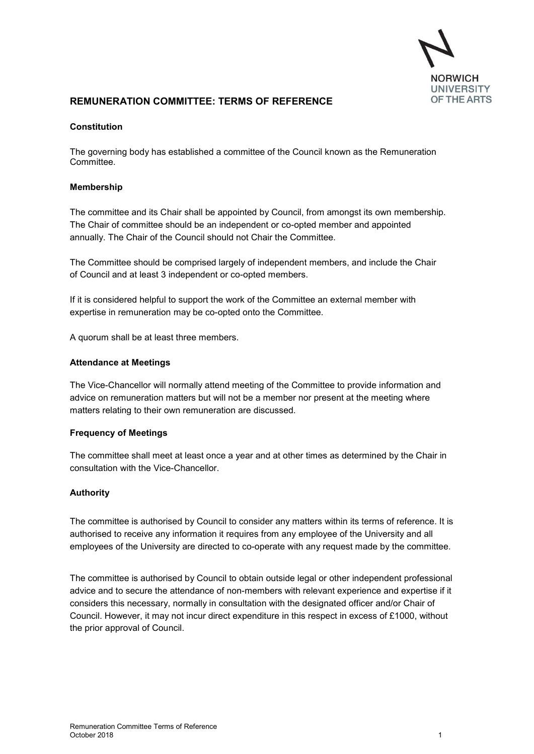

## **REMUNERATION COMMITTEE: TERMS OF REFERENCE** OF THE ARTS

#### **Constitution**

The governing body has established a committee of the Council known as the Remuneration Committee.

#### **Membership**

The committee and its Chair shall be appointed by Council, from amongst its own membership. The Chair of committee should be an independent or co-opted member and appointed annually. The Chair of the Council should not Chair the Committee.

The Committee should be comprised largely of independent members, and include the Chair of Council and at least 3 independent or co-opted members.

If it is considered helpful to support the work of the Committee an external member with expertise in remuneration may be co-opted onto the Committee.

A quorum shall be at least three members.

#### **Attendance at Meetings**

The Vice-Chancellor will normally attend meeting of the Committee to provide information and advice on remuneration matters but will not be a member nor present at the meeting where matters relating to their own remuneration are discussed.

#### **Frequency of Meetings**

The committee shall meet at least once a year and at other times as determined by the Chair in consultation with the Vice-Chancellor.

## **Authority**

The committee is authorised by Council to consider any matters within its terms of reference. It is authorised to receive any information it requires from any employee of the University and all employees of the University are directed to co-operate with any request made by the committee.

The committee is authorised by Council to obtain outside legal or other independent professional advice and to secure the attendance of non-members with relevant experience and expertise if it considers this necessary, normally in consultation with the designated officer and/or Chair of Council. However, it may not incur direct expenditure in this respect in excess of £1000, without the prior approval of Council.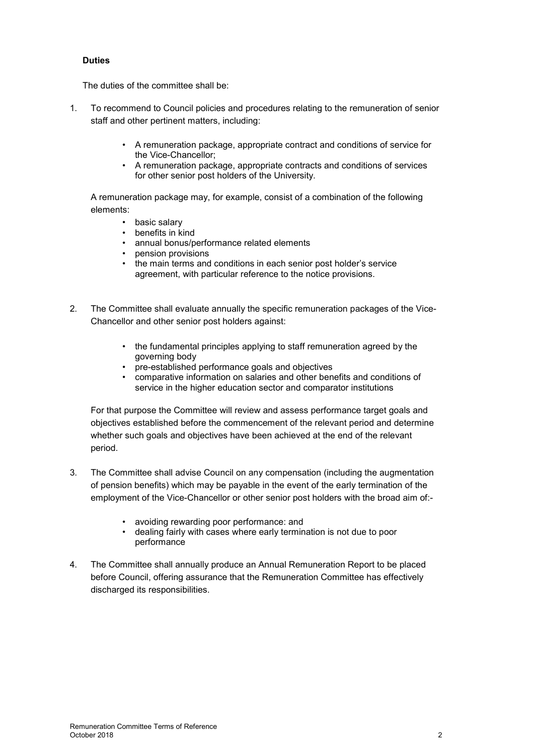## **Duties**

The duties of the committee shall be:

- 1. To recommend to Council policies and procedures relating to the remuneration of senior staff and other pertinent matters, including:
	- A remuneration package, appropriate contract and conditions of service for the Vice-Chancellor;
	- A remuneration package, appropriate contracts and conditions of services for other senior post holders of the University.

A remuneration package may, for example, consist of a combination of the following elements:

- basic salary
- benefits in kind
- annual bonus/performance related elements
- pension provisions
- the main terms and conditions in each senior post holder's service agreement, with particular reference to the notice provisions.
- 2. The Committee shall evaluate annually the specific remuneration packages of the Vice-Chancellor and other senior post holders against:
	- the fundamental principles applying to staff remuneration agreed by the governing body
	- pre-established performance goals and objectives
	- comparative information on salaries and other benefits and conditions of service in the higher education sector and comparator institutions

For that purpose the Committee will review and assess performance target goals and objectives established before the commencement of the relevant period and determine whether such goals and objectives have been achieved at the end of the relevant period.

- 3. The Committee shall advise Council on any compensation (including the augmentation of pension benefits) which may be payable in the event of the early termination of the employment of the Vice-Chancellor or other senior post holders with the broad aim of:-
	- avoiding rewarding poor performance: and
	- dealing fairly with cases where early termination is not due to poor performance
- 4. The Committee shall annually produce an Annual Remuneration Report to be placed before Council, offering assurance that the Remuneration Committee has effectively discharged its responsibilities.